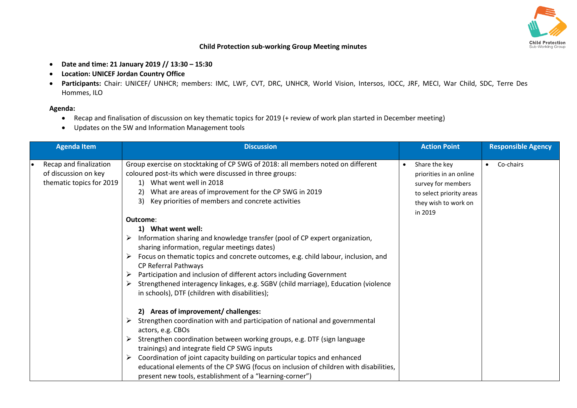

## **Child Protection sub-working Group Meeting minutes**

- **Date and time: 21 January 2019 // 13:30 – 15:30**
- **Location: UNICEF Jordan Country Office**
- **Participants:** Chair: UNICEF/ UNHCR; members: IMC, LWF, CVT, DRC, UNHCR, World Vision, Intersos, IOCC, JRF, MECI, War Child, SDC, Terre Des Hommes, ILO

## **Agenda:**

- Recap and finalisation of discussion on key thematic topics for 2019 (+ review of work plan started in December meeting)
- Updates on the 5W and Information Management tools

| <b>Agenda Item</b>                                                         | <b>Discussion</b>                                                                                                                                                                                                                                                                                                                                                                                                                                                                                     | <b>Action Point</b>                                                                                                                        | <b>Responsible Agency</b> |
|----------------------------------------------------------------------------|-------------------------------------------------------------------------------------------------------------------------------------------------------------------------------------------------------------------------------------------------------------------------------------------------------------------------------------------------------------------------------------------------------------------------------------------------------------------------------------------------------|--------------------------------------------------------------------------------------------------------------------------------------------|---------------------------|
| Recap and finalization<br>of discussion on key<br>thematic topics for 2019 | Group exercise on stocktaking of CP SWG of 2018: all members noted on different<br>coloured post-its which were discussed in three groups:<br>1) What went well in 2018<br>What are areas of improvement for the CP SWG in 2019<br>Key priorities of members and concrete activities<br>3)<br>Outcome:                                                                                                                                                                                                | Share the key<br>$\bullet$<br>priorities in an online<br>survey for members<br>to select priority areas<br>they wish to work on<br>in 2019 | Co-chairs<br>$\bullet$    |
|                                                                            | 1) What went well:<br>Information sharing and knowledge transfer (pool of CP expert organization,<br>➤<br>sharing information, regular meetings dates)<br>Focus on thematic topics and concrete outcomes, e.g. child labour, inclusion, and<br>CP Referral Pathways<br>Participation and inclusion of different actors including Government<br>Strengthened interagency linkages, e.g. SGBV (child marriage), Education (violence<br>in schools), DTF (children with disabilities);                   |                                                                                                                                            |                           |
|                                                                            | 2) Areas of improvement/ challenges:<br>Strengthen coordination with and participation of national and governmental<br>actors, e.g. CBOs<br>Strengthen coordination between working groups, e.g. DTF (sign language<br>trainings) and integrate field CP SWG inputs<br>Coordination of joint capacity building on particular topics and enhanced<br>educational elements of the CP SWG (focus on inclusion of children with disabilities,<br>present new tools, establishment of a "learning-corner") |                                                                                                                                            |                           |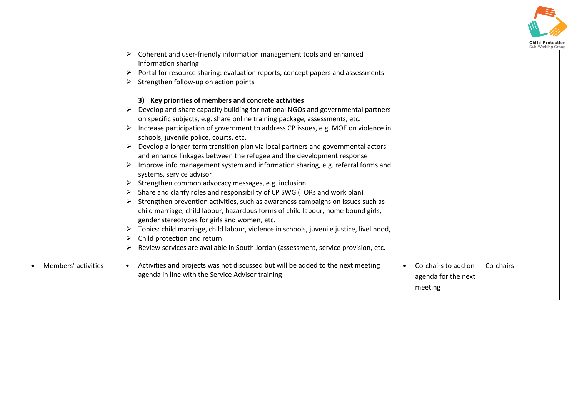

|                     |                                                                                                                                                                                                                                                                                                                                                                                                                                                                                                                                                                                                                                                                                                                                                                                                                                                                                                                                                                                                                                                                                                                                                                                                                                    |                                                                    | Sub-Working Grot |
|---------------------|------------------------------------------------------------------------------------------------------------------------------------------------------------------------------------------------------------------------------------------------------------------------------------------------------------------------------------------------------------------------------------------------------------------------------------------------------------------------------------------------------------------------------------------------------------------------------------------------------------------------------------------------------------------------------------------------------------------------------------------------------------------------------------------------------------------------------------------------------------------------------------------------------------------------------------------------------------------------------------------------------------------------------------------------------------------------------------------------------------------------------------------------------------------------------------------------------------------------------------|--------------------------------------------------------------------|------------------|
|                     | Coherent and user-friendly information management tools and enhanced<br>➤<br>information sharing<br>Portal for resource sharing: evaluation reports, concept papers and assessments<br>➤<br>Strengthen follow-up on action points<br>➤                                                                                                                                                                                                                                                                                                                                                                                                                                                                                                                                                                                                                                                                                                                                                                                                                                                                                                                                                                                             |                                                                    |                  |
|                     | 3) Key priorities of members and concrete activities<br>Develop and share capacity building for national NGOs and governmental partners<br>on specific subjects, e.g. share online training package, assessments, etc.<br>Increase participation of government to address CP issues, e.g. MOE on violence in<br>schools, juvenile police, courts, etc.<br>Develop a longer-term transition plan via local partners and governmental actors<br>➤<br>and enhance linkages between the refugee and the development response<br>Improve info management system and information sharing, e.g. referral forms and<br>systems, service advisor<br>Strengthen common advocacy messages, e.g. inclusion<br>➤<br>Share and clarify roles and responsibility of CP SWG (TORs and work plan)<br>Strengthen prevention activities, such as awareness campaigns on issues such as<br>child marriage, child labour, hazardous forms of child labour, home bound girls,<br>gender stereotypes for girls and women, etc.<br>Topics: child marriage, child labour, violence in schools, juvenile justice, livelihood,<br>➤<br>Child protection and return<br>Review services are available in South Jordan (assessment, service provision, etc.<br>➤ |                                                                    |                  |
| Members' activities | Activities and projects was not discussed but will be added to the next meeting<br>agenda in line with the Service Advisor training                                                                                                                                                                                                                                                                                                                                                                                                                                                                                                                                                                                                                                                                                                                                                                                                                                                                                                                                                                                                                                                                                                | Co-chairs to add on<br>$\bullet$<br>agenda for the next<br>meeting | Co-chairs        |